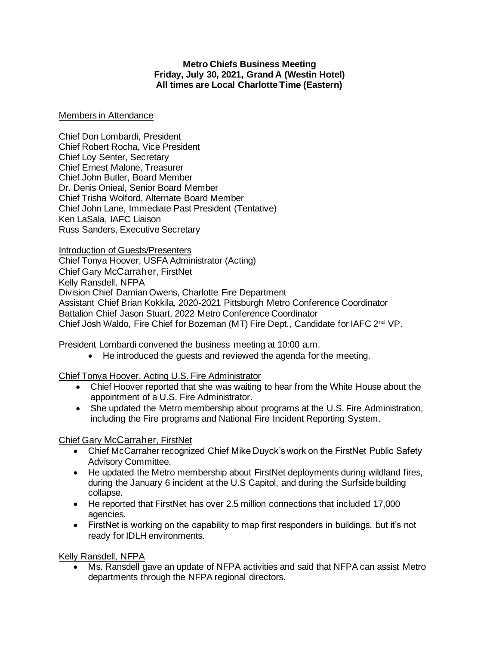#### **Metro Chiefs Business Meeting Friday, July 30, 2021, Grand A (Westin Hotel) All times are Local Charlotte Time (Eastern)**

#### Members in Attendance

Chief Don Lombardi, President Chief Robert Rocha, Vice President Chief Loy Senter, Secretary Chief Ernest Malone, Treasurer Chief John Butler, Board Member Dr. Denis Onieal, Senior Board Member Chief Trisha Wolford, Alternate Board Member Chief John Lane, Immediate Past President (Tentative) Ken LaSala, IAFC Liaison Russ Sanders, Executive Secretary

Introduction of Guests/Presenters

Chief Tonya Hoover, USFA Administrator (Acting) Chief Gary McCarraher, FirstNet Kelly Ransdell, NFPA Division Chief Damian Owens, Charlotte Fire Department Assistant Chief Brian Kokkila, 2020-2021 Pittsburgh Metro Conference Coordinator Battalion Chief Jason Stuart, 2022 Metro Conference Coordinator Chief Josh Waldo, Fire Chief for Bozeman (MT) Fire Dept., Candidate for IAFC 2nd VP.

President Lombardi convened the business meeting at 10:00 a.m.

• He introduced the guests and reviewed the agenda for the meeting.

Chief Tonya Hoover, Acting U.S. Fire Administrator

- Chief Hoover reported that she was waiting to hear from the White House about the appointment of a U.S. Fire Administrator.
- She updated the Metro membership about programs at the U.S. Fire Administration, including the Fire programs and National Fire Incident Reporting System.

## Chief Gary McCarraher, FirstNet

- Chief McCarraher recognized Chief Mike Duyck's work on the FirstNet Public Safety Advisory Committee.
- He updated the Metro membership about FirstNet deployments during wildland fires, during the January 6 incident at the U.S Capitol, and during the Surfside building collapse.
- He reported that FirstNet has over 2.5 million connections that included 17,000 agencies.
- FirstNet is working on the capability to map first responders in buildings, but it's not ready for IDLH environments.

Kelly Ransdell, NFPA

• Ms. Ransdell gave an update of NFPA activities and said that NFPA can assist Metro departments through the NFPA regional directors.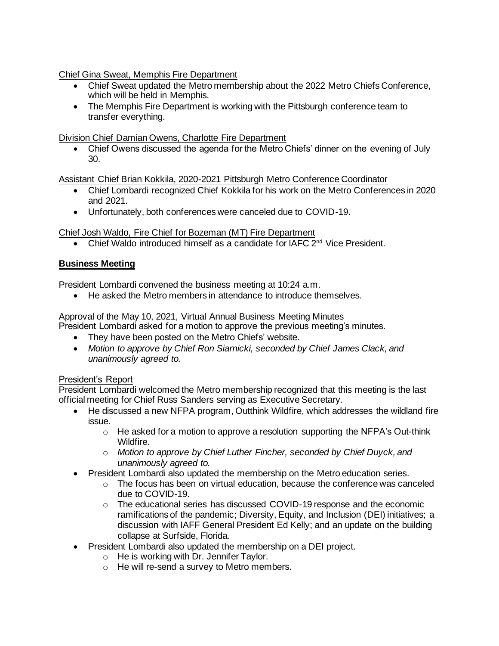Chief Gina Sweat, Memphis Fire Department

- Chief Sweat updated the Metro membership about the 2022 Metro Chiefs Conference, which will be held in Memphis.
- The Memphis Fire Department is working with the Pittsburgh conference team to transfer everything.

Division Chief Damian Owens, Charlotte Fire Department

• Chief Owens discussed the agenda for the Metro Chiefs' dinner on the evening of July 30.

Assistant Chief Brian Kokkila, 2020-2021 Pittsburgh Metro Conference Coordinator

- Chief Lombardi recognized Chief Kokkila for his work on the Metro Conferences in 2020 and 2021.
- Unfortunately, both conferences were canceled due to COVID-19.

Chief Josh Waldo, Fire Chief for Bozeman (MT) Fire Department

• Chief Waldo introduced himself as a candidate for IAFC  $2^{nd}$  Vice President.

# **Business Meeting**

President Lombardi convened the business meeting at 10:24 a.m.

• He asked the Metro members in attendance to introduce themselves.

## Approval of the May 10, 2021, Virtual Annual Business Meeting Minutes

President Lombardi asked for a motion to approve the previous meeting's minutes.

- They have been posted on the Metro Chiefs' website.
- *Motion to approve by Chief Ron Siarnicki, seconded by Chief James Clack, and unanimously agreed to.*

## President's Report

President Lombardi welcomed the Metro membership recognized that this meeting is the last official meeting for Chief Russ Sanders serving as Executive Secretary.

- He discussed a new NFPA program, Outthink Wildfire, which addresses the wildland fire issue.
	- $\circ$  He asked for a motion to approve a resolution supporting the NFPA's Out-think Wildfire.
	- o *Motion to approve by Chief Luther Fincher, seconded by Chief Duyck, and unanimously agreed to.*
- President Lombardi also updated the membership on the Metro education series.
	- $\circ$  The focus has been on virtual education, because the conference was canceled due to COVID-19.
	- $\circ$  The educational series has discussed COVID-19 response and the economic ramifications of the pandemic; Diversity, Equity, and Inclusion (DEI) initiatives; a discussion with IAFF General President Ed Kelly; and an update on the building collapse at Surfside, Florida.
- President Lombardi also updated the membership on a DEI project.
	- $\circ$  He is working with Dr. Jennifer Taylor.
	- o He will re-send a survey to Metro members.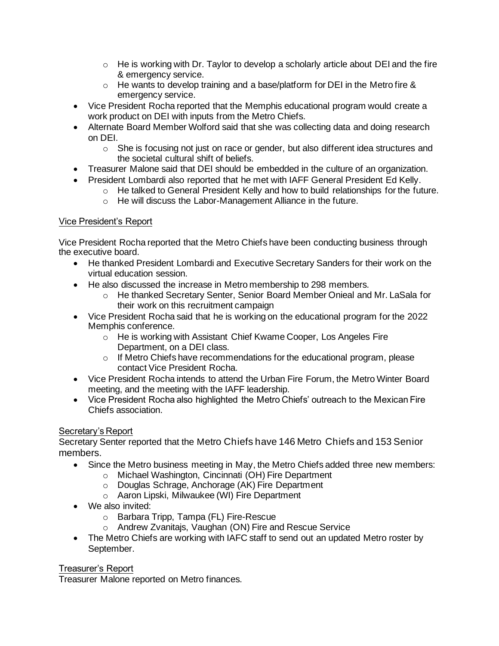- $\circ$  He is working with Dr. Taylor to develop a scholarly article about DEI and the fire & emergency service.
- o He wants to develop training and a base/platform for DEI in the Metro fire & emergency service.
- Vice President Rocha reported that the Memphis educational program would create a work product on DEI with inputs from the Metro Chiefs.
- Alternate Board Member Wolford said that she was collecting data and doing research on DEI.
	- o She is focusing not just on race or gender, but also different idea structures and the societal cultural shift of beliefs.
- Treasurer Malone said that DEI should be embedded in the culture of an organization.
- President Lombardi also reported that he met with IAFF General President Ed Kelly.
	- o He talked to General President Kelly and how to build relationships for the future.
	- o He will discuss the Labor-Management Alliance in the future.

# Vice President's Report

Vice President Rocha reported that the Metro Chiefs have been conducting business through the executive board.

- He thanked President Lombardi and Executive Secretary Sanders for their work on the virtual education session.
- He also discussed the increase in Metro membership to 298 members.
	- o He thanked Secretary Senter, Senior Board Member Onieal and Mr. LaSala for their work on this recruitment campaign
- Vice President Rocha said that he is working on the educational program for the 2022 Memphis conference.
	- o He is working with Assistant Chief Kwame Cooper, Los Angeles Fire Department, on a DEI class.
	- o If Metro Chiefs have recommendations for the educational program, please contact Vice President Rocha.
- Vice President Rocha intends to attend the Urban Fire Forum, the Metro Winter Board meeting, and the meeting with the IAFF leadership.
- Vice President Rocha also highlighted the Metro Chiefs' outreach to the Mexican Fire Chiefs association.

## Secretary's Report

Secretary Senter reported that the Metro Chiefs have 146 Metro Chiefs and 153 Senior members.

- Since the Metro business meeting in May, the Metro Chiefs added three new members:
	- o Michael Washington, Cincinnati (OH) Fire Department
	- o Douglas Schrage, Anchorage (AK) Fire Department
	- o Aaron Lipski, Milwaukee (WI) Fire Department
- We also invited:
	- o Barbara Tripp, Tampa (FL) Fire-Rescue
	- o Andrew Zvanitajs, Vaughan (ON) Fire and Rescue Service
- The Metro Chiefs are working with IAFC staff to send out an updated Metro roster by September.

## Treasurer's Report

Treasurer Malone reported on Metro finances.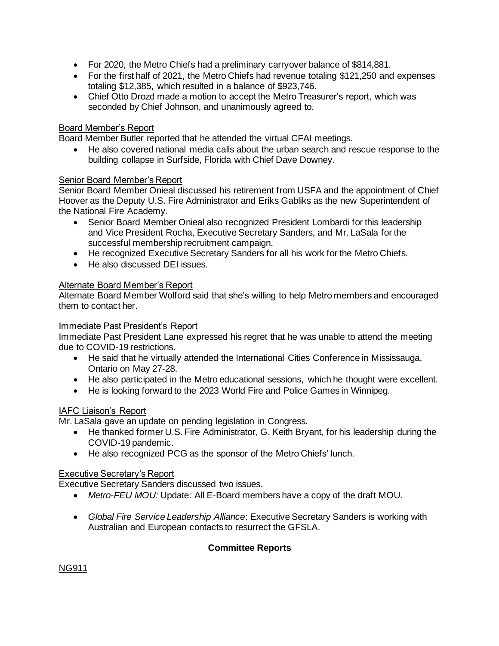- For 2020, the Metro Chiefs had a preliminary carryover balance of \$814,881.
- For the first half of 2021, the Metro Chiefs had revenue totaling \$121,250 and expenses totaling \$12,385, which resulted in a balance of \$923,746.
- Chief Otto Drozd made a motion to accept the Metro Treasurer's report, which was seconded by Chief Johnson, and unanimously agreed to.

## Board Member's Report

Board Member Butler reported that he attended the virtual CFAI meetings.

• He also covered national media calls about the urban search and rescue response to the building collapse in Surfside, Florida with Chief Dave Downey.

## Senior Board Member's Report

Senior Board Member Onieal discussed his retirement from USFA and the appointment of Chief Hoover as the Deputy U.S. Fire Administrator and Eriks Gabliks as the new Superintendent of the National Fire Academy.

- Senior Board Member Onieal also recognized President Lombardi for this leadership and Vice President Rocha, Executive Secretary Sanders, and Mr. LaSala for the successful membership recruitment campaign.
- He recognized Executive Secretary Sanders for all his work for the Metro Chiefs.
- He also discussed DEI issues.

## Alternate Board Member's Report

Alternate Board Member Wolford said that she's willing to help Metro members and encouraged them to contact her.

#### Immediate Past President's Report

Immediate Past President Lane expressed his regret that he was unable to attend the meeting due to COVID-19 restrictions.

- He said that he virtually attended the International Cities Conference in Mississauga, Ontario on May 27-28.
- He also participated in the Metro educational sessions, which he thought were excellent.
- He is looking forward to the 2023 World Fire and Police Games in Winnipeg.

## IAFC Liaison's Report

Mr. LaSala gave an update on pending legislation in Congress.

- He thanked former U.S. Fire Administrator, G. Keith Bryant, for his leadership during the COVID-19 pandemic.
- He also recognized PCG as the sponsor of the Metro Chiefs' lunch.

## Executive Secretary's Report

Executive Secretary Sanders discussed two issues.

- *Metro-FEU MOU:* Update: All E-Board members have a copy of the draft MOU.
- *Global Fire Service Leadership Alliance*: Executive Secretary Sanders is working with Australian and European contacts to resurrect the GFSLA.

## **Committee Reports**

NG911